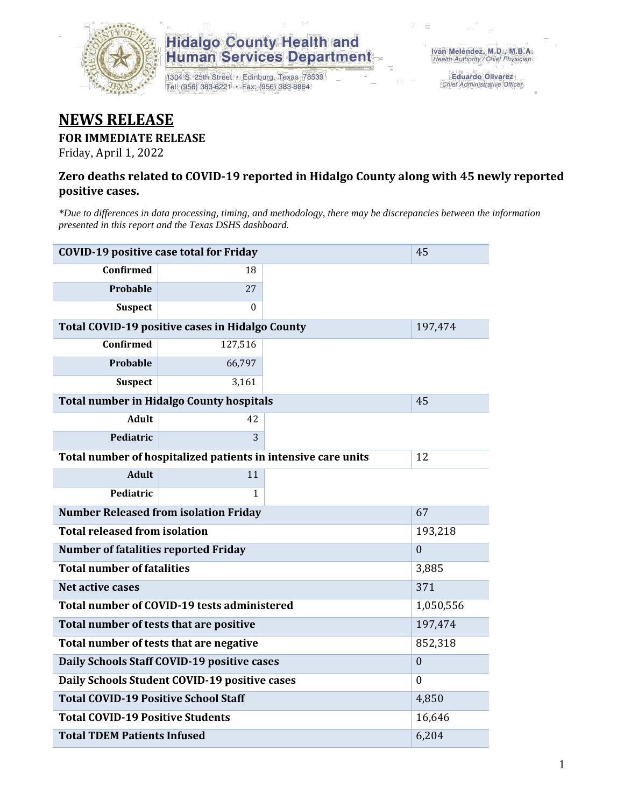

# **Hidalgo County Health and<br>Human Services Department**

1304 S. 25th Street · Edinburg, Texas 78539 Tel: (956) 383-6221 · Fax: (956) 383-8864

Eduardo Olivarez Chief Administrative Officer

## **NEWS RELEASE**

#### **FOR IMMEDIATE RELEASE**

Friday, April 1, 2022

#### **Zero deaths related to COVID-19 reported in Hidalgo County along with 45 newly reported positive cases.**

*\*Due to differences in data processing, timing, and methodology, there may be discrepancies between the information presented in this report and the Texas DSHS dashboard.*

| <b>COVID-19 positive case total for Friday</b>  | 45                                                            |         |  |
|-------------------------------------------------|---------------------------------------------------------------|---------|--|
| <b>Confirmed</b>                                | 18                                                            |         |  |
| Probable                                        | 27                                                            |         |  |
| <b>Suspect</b>                                  | $\Omega$                                                      |         |  |
| Total COVID-19 positive cases in Hidalgo County |                                                               | 197,474 |  |
| Confirmed                                       | 127,516                                                       |         |  |
| <b>Probable</b>                                 | 66,797                                                        |         |  |
| <b>Suspect</b>                                  | 3,161                                                         |         |  |
| <b>Total number in Hidalgo County hospitals</b> |                                                               | 45      |  |
| <b>Adult</b>                                    | 42                                                            |         |  |
| Pediatric                                       | 3                                                             |         |  |
|                                                 | Total number of hospitalized patients in intensive care units | 12      |  |
| <b>Adult</b>                                    | 11                                                            |         |  |
| Pediatric                                       | 1                                                             |         |  |
| <b>Number Released from isolation Friday</b>    |                                                               | 67      |  |
| <b>Total released from isolation</b>            | 193,218                                                       |         |  |
| <b>Number of fatalities reported Friday</b>     | $\mathbf{0}$                                                  |         |  |
| <b>Total number of fatalities</b>               | 3,885                                                         |         |  |
| Net active cases                                | 371                                                           |         |  |
| Total number of COVID-19 tests administered     | 1,050,556                                                     |         |  |
| Total number of tests that are positive         | 197,474                                                       |         |  |
| Total number of tests that are negative         | 852,318                                                       |         |  |
| Daily Schools Staff COVID-19 positive cases     | $\mathbf{0}$                                                  |         |  |
| Daily Schools Student COVID-19 positive cases   | $\theta$                                                      |         |  |
| <b>Total COVID-19 Positive School Staff</b>     | 4,850                                                         |         |  |
| <b>Total COVID-19 Positive Students</b>         | 16,646                                                        |         |  |
| <b>Total TDEM Patients Infused</b>              | 6,204                                                         |         |  |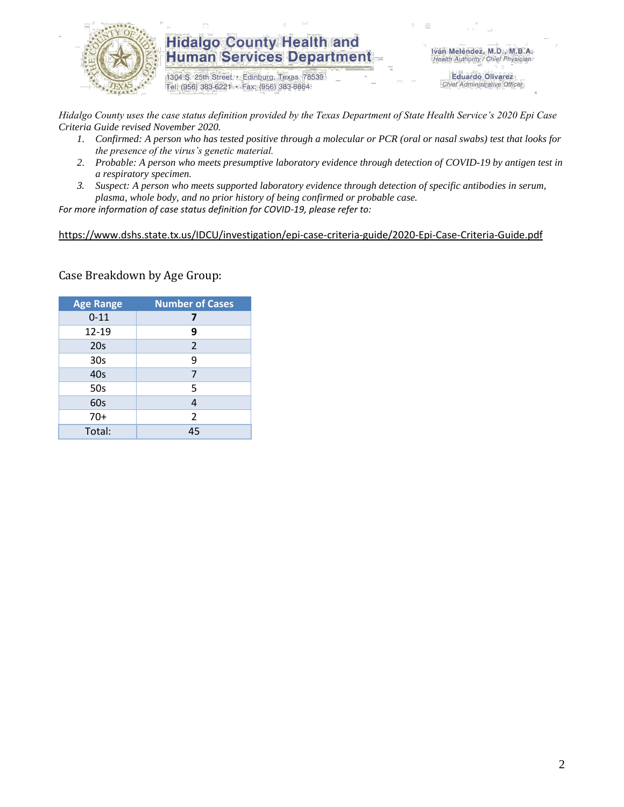

### **Hidalgo County Health and Human Services Department**

1304 S. 25th Street · Edinburg, Texas 78539 Tel: (956) 383-6221 · Fax: (956) 383-8864

Iván Meléndez, M.D., M.B.A. Health Authority / Chief Physician

> **Eduardo Olivarez** Chief Administrative Officer

*Hidalgo County uses the case status definition provided by the Texas Department of State Health Service's 2020 Epi Case Criteria Guide revised November 2020.*

- *1. Confirmed: A person who has tested positive through a molecular or PCR (oral or nasal swabs) test that looks for the presence of the virus's genetic material.*
- *2. Probable: A person who meets presumptive laboratory evidence through detection of COVID-19 by antigen test in a respiratory specimen.*
- *3. Suspect: A person who meets supported laboratory evidence through detection of specific antibodies in serum, plasma, whole body, and no prior history of being confirmed or probable case.*

*For more information of case status definition for COVID-19, please refer to:*

<https://www.dshs.state.tx.us/IDCU/investigation/epi-case-criteria-guide/2020-Epi-Case-Criteria-Guide.pdf>

Case Breakdown by Age Group:

| <b>Age Range</b> | <b>Number of Cases</b> |  |  |  |
|------------------|------------------------|--|--|--|
| $0 - 11$         | 7                      |  |  |  |
| 12-19            | 9                      |  |  |  |
| 20s              | $\overline{2}$         |  |  |  |
| 30 <sub>s</sub>  | 9                      |  |  |  |
| 40s              | 7                      |  |  |  |
| 50s              | 5                      |  |  |  |
| 60s              | 4                      |  |  |  |
| $70+$            | $\overline{2}$         |  |  |  |
| Total:           | 45                     |  |  |  |